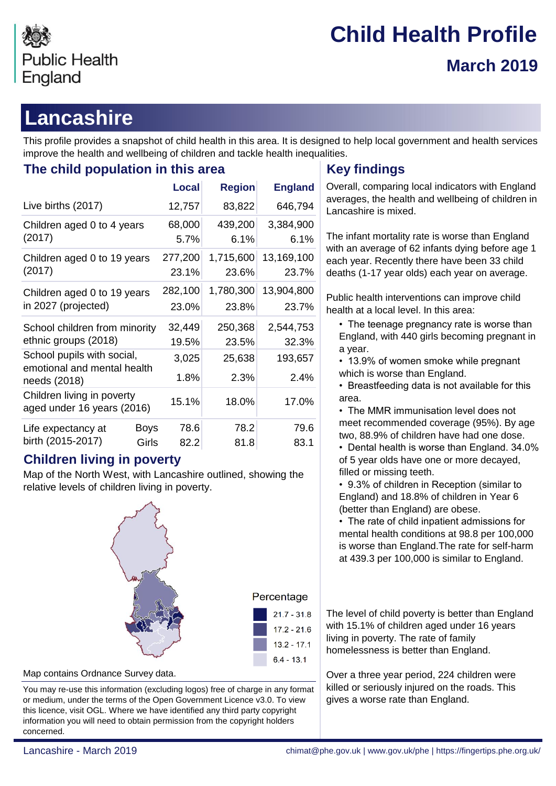

# **Child Health Profile March 2019**

# **Lancashire**

This profile provides a snapshot of child health in this area. It is designed to help local government and health services improve the health and wellbeing of children and tackle health inequalities.

## **The child population in this area <b>Key findings**

|                                                                           | <b>Local</b>                  | <b>Region</b>      | <b>England</b>      |
|---------------------------------------------------------------------------|-------------------------------|--------------------|---------------------|
| Live births (2017)                                                        | 12,757                        | 83,822             | 646,794             |
| Children aged 0 to 4 years<br>(2017)                                      | 68,000<br>5.7%                | 439,200<br>6.1%    | 3,384,900<br>6.1%   |
| Children aged 0 to 19 years<br>(2017)                                     | 277,200<br>23.1%              | 1,715,600<br>23.6% | 13,169,100<br>23.7% |
| Children aged 0 to 19 years<br>in 2027 (projected)                        | 282,100<br>23.0%              | 1,780,300<br>23.8% | 13,904,800<br>23.7% |
| School children from minority<br>ethnic groups (2018)                     | 32,449<br>19.5%               | 250,368<br>23.5%   | 2,544,753<br>32.3%  |
| School pupils with social,<br>emotional and mental health<br>needs (2018) | 3,025<br>1.8%                 | 25,638<br>2.3%     | 193,657<br>2.4%     |
| Children living in poverty<br>aged under 16 years (2016)                  | 15.1%                         | 18.0%              | 17.0%               |
| Life expectancy at<br>birth (2015-2017)                                   | 78.6<br>Boys<br>Girls<br>82.2 | 78.2<br>81.8       | 79.6<br>83.1        |

## **Children living in poverty**

Map of the North West, with Lancashire outlined, showing the relative levels of children living in poverty.



| Percentage    |
|---------------|
| $21.7 - 31.8$ |
| 17.2 - 21.6   |
| 13.2 - 17.1   |
| $6.4 - 13.1$  |
|               |

Map contains Ordnance Survey data.

You may re-use this information (excluding logos) free of charge in any format or medium, under the terms of the Open Government Licence v3.0. To view this licence, visit OGL. Where we have identified any third party copyright information you will need to obtain permission from the copyright holders concerned.

Overall, comparing local indicators with England averages, the health and wellbeing of children in Lancashire is mixed.

The infant mortality rate is worse than England with an average of 62 infants dying before age 1 each year. Recently there have been 33 child deaths (1-17 year olds) each year on average.

Public health interventions can improve child health at a local level. In this area:

- The teenage pregnancy rate is worse than England, with 440 girls becoming pregnant in a year.
- 13.9% of women smoke while pregnant which is worse than England.
- Breastfeeding data is not available for this area.
- The MMR immunisation level does not meet recommended coverage (95%). By age two, 88.9% of children have had one dose.
- Dental health is worse than England. 34.0% of 5 year olds have one or more decayed, filled or missing teeth.
- 9.3% of children in Reception (similar to England) and 18.8% of children in Year 6 (better than England) are obese.

• The rate of child inpatient admissions for mental health conditions at 98.8 per 100,000 is worse than England.The rate for self-harm at 439.3 per 100,000 is similar to England.

The level of child poverty is better than England with 15.1% of children aged under 16 years living in poverty. The rate of family homelessness is better than England.

Over a three year period, 224 children were killed or seriously injured on the roads. This gives a worse rate than England.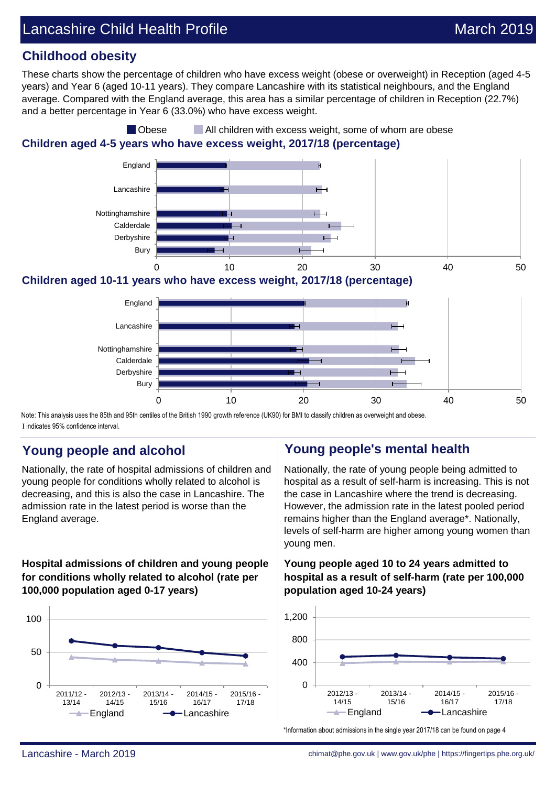## **Childhood obesity**

These charts show the percentage of children who have excess weight (obese or overweight) in Reception (aged 4-5 years) and Year 6 (aged 10-11 years). They compare Lancashire with its statistical neighbours, and the England average. Compared with the England average, this area has a similar percentage of children in Reception (22.7%) and a better percentage in Year 6 (33.0%) who have excess weight.

## **Children aged 4-5 years who have excess weight, 2017/18 (percentage) Obese** All children with excess weight, some of whom are obese



**Children aged 10-11 years who have excess weight, 2017/18 (percentage)**



Note: This analysis uses the 85th and 95th centiles of the British 1990 growth reference (UK90) for BMI to classify children as overweight and obese. I indicates 95% confidence interval.

Nationally, the rate of hospital admissions of children and young people for conditions wholly related to alcohol is decreasing, and this is also the case in Lancashire. The admission rate in the latest period is worse than the England average.

### **Hospital admissions of children and young people for conditions wholly related to alcohol (rate per 100,000 population aged 0-17 years)**



## **Young people and alcohol Young people's mental health**

Nationally, the rate of young people being admitted to hospital as a result of self-harm is increasing. This is not the case in Lancashire where the trend is decreasing. However, the admission rate in the latest pooled period remains higher than the England average\*. Nationally, levels of self-harm are higher among young women than young men.

### **Young people aged 10 to 24 years admitted to hospital as a result of self-harm (rate per 100,000 population aged 10-24 years)**



\*Information about admissions in the single year 2017/18 can be found on page 4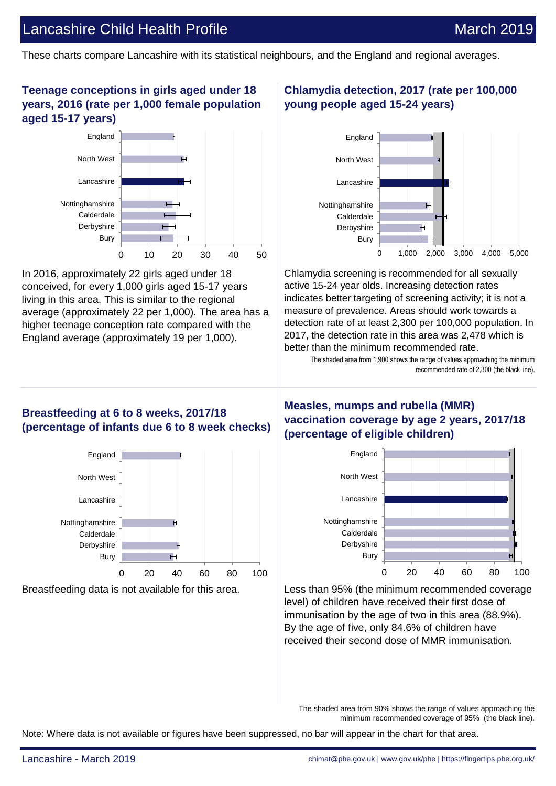## Lancashire Child Health Profile March 2019

These charts compare Lancashire with its statistical neighbours, and the England and regional averages.

### **Teenage conceptions in girls aged under 18 years, 2016 (rate per 1,000 female population aged 15-17 years)**



In 2016, approximately 22 girls aged under 18 conceived, for every 1,000 girls aged 15-17 years living in this area. This is similar to the regional average (approximately 22 per 1,000). The area has a higher teenage conception rate compared with the England average (approximately 19 per 1,000).

## **Chlamydia detection, 2017 (rate per 100,000 young people aged 15-24 years)**



Chlamydia screening is recommended for all sexually active 15-24 year olds. Increasing detection rates indicates better targeting of screening activity; it is not a measure of prevalence. Areas should work towards a detection rate of at least 2,300 per 100,000 population. In 2017, the detection rate in this area was 2,478 which is better than the minimum recommended rate.

> The shaded area from 1,900 shows the range of values approaching the minimum recommended rate of 2,300 (the black line).

### **Breastfeeding at 6 to 8 weeks, 2017/18 (percentage of infants due 6 to 8 week checks)**



## **Measles, mumps and rubella (MMR) vaccination coverage by age 2 years, 2017/18 (percentage of eligible children)**



Breastfeeding data is not available for this area. Less than 95% (the minimum recommended coverage level) of children have received their first dose of immunisation by the age of two in this area (88.9%). By the age of five, only 84.6% of children have received their second dose of MMR immunisation.

> The shaded area from 90% shows the range of values approaching the minimum recommended coverage of 95% (the black line).

Note: Where data is not available or figures have been suppressed, no bar will appear in the chart for that area.